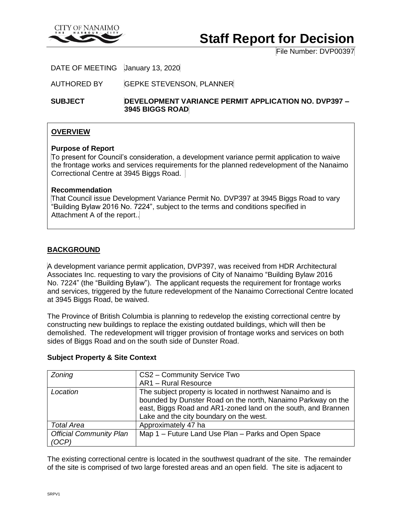

# **Staff Report for Decision**

File Number: DVP00397

DATE OF MEETING January 13, 2020

AUTHORED BY GEPKE STEVENSON, PLANNER

**SUBJECT DEVELOPMENT VARIANCE PERMIT APPLICATION NO. DVP397 – 3945 BIGGS ROAD**

## **OVERVIEW**

#### **Purpose of Report**

To present for Council's consideration, a development variance permit application to waive the frontage works and services requirements for the planned redevelopment of the Nanaimo Correctional Centre at 3945 Biggs Road.

## **Recommendation**

That Council issue Development Variance Permit No. DVP397 at 3945 Biggs Road to vary "Building Bylaw 2016 No. 7224", subject to the terms and conditions specified in Attachment A of the report..

## **BACKGROUND**

A development variance permit application, DVP397, was received from HDR Architectural Associates Inc. requesting to vary the provisions of City of Nanaimo "Building Bylaw 2016 No. 7224" (the "Building Bylaw"). The applicant requests the requirement for frontage works and services, triggered by the future redevelopment of the Nanaimo Correctional Centre located at 3945 Biggs Road, be waived.

The Province of British Columbia is planning to redevelop the existing correctional centre by constructing new buildings to replace the existing outdated buildings, which will then be demolished. The redevelopment will trigger provision of frontage works and services on both sides of Biggs Road and on the south side of Dunster Road.

| Zoning                         | CS2 - Community Service Two                                   |
|--------------------------------|---------------------------------------------------------------|
|                                | AR1 - Rural Resource                                          |
| Location                       | The subject property is located in northwest Nanaimo and is   |
|                                | bounded by Dunster Road on the north, Nanaimo Parkway on the  |
|                                | east, Biggs Road and AR1-zoned land on the south, and Brannen |
|                                | Lake and the city boundary on the west.                       |
| <b>Total Area</b>              | Approximately 47 ha                                           |
| <b>Official Community Plan</b> | Map 1 - Future Land Use Plan - Parks and Open Space           |
| (OCP)                          |                                                               |

## **Subject Property & Site Context**

The existing correctional centre is located in the southwest quadrant of the site. The remainder of the site is comprised of two large forested areas and an open field. The site is adjacent to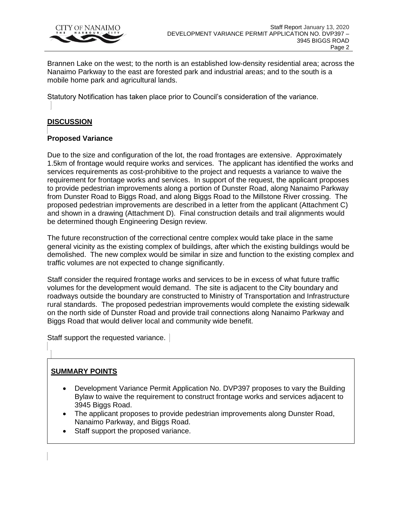

Brannen Lake on the west; to the north is an established low-density residential area; across the Nanaimo Parkway to the east are forested park and industrial areas; and to the south is a mobile home park and agricultural lands.

Statutory Notification has taken place prior to Council's consideration of the variance.

# **DISCUSSION**

# **Proposed Variance**

Due to the size and configuration of the lot, the road frontages are extensive. Approximately 1.5km of frontage would require works and services. The applicant has identified the works and services requirements as cost-prohibitive to the project and requests a variance to waive the requirement for frontage works and services. In support of the request, the applicant proposes to provide pedestrian improvements along a portion of Dunster Road, along Nanaimo Parkway from Dunster Road to Biggs Road, and along Biggs Road to the Millstone River crossing. The proposed pedestrian improvements are described in a letter from the applicant (Attachment C) and shown in a drawing (Attachment D). Final construction details and trail alignments would be determined though Engineering Design review.

The future reconstruction of the correctional centre complex would take place in the same general vicinity as the existing complex of buildings, after which the existing buildings would be demolished. The new complex would be similar in size and function to the existing complex and traffic volumes are not expected to change significantly.

Staff consider the required frontage works and services to be in excess of what future traffic volumes for the development would demand. The site is adjacent to the City boundary and roadways outside the boundary are constructed to Ministry of Transportation and Infrastructure rural standards. The proposed pedestrian improvements would complete the existing sidewalk on the north side of Dunster Road and provide trail connections along Nanaimo Parkway and Biggs Road that would deliver local and community wide benefit.

Staff support the requested variance.

# **SUMMARY POINTS**

- Development Variance Permit Application No. DVP397 proposes to vary the Building Bylaw to waive the requirement to construct frontage works and services adjacent to 3945 Biggs Road.
- The applicant proposes to provide pedestrian improvements along Dunster Road, Nanaimo Parkway, and Biggs Road.
- Staff support the proposed variance.